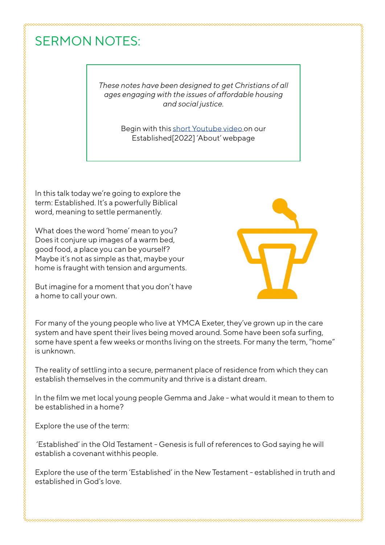## SERMON NOTES:

*These notes have been designed to get Christians of all ages engaging with the issues of affordable housing and social justice.*

> Begin with this short Youtube video on our Established[2022] 'About' webpage

In this talk today we're going to explore the term: Established. It's a powerfully Biblical word, meaning to settle permanently.

What does the word 'home' mean to you? Does it conjure up images of a warm bed, good food, a place you can be yourself? Maybe it's not as simple as that, maybe your home is fraught with tension and arguments.



But imagine for a moment that you don't have a home to call your own.

For many of the young people who live at YMCA Exeter, they've grown up in the care system and have spent their lives being moved around. Some have been sofa surfing, some have spent a few weeks or months living on the streets. For many the term, "home" is unknown.

The reality of settling into a secure, permanent place of residence from which they can establish themselves in the community and thrive is a distant dream.

In the film we met local young people Gemma and Jake - what would it mean to them to be established in a home?

Explore the use of the term:

 'Established' in the Old Testament - Genesis is full of references to God saying he will establish a covenant withhis people.

Explore the use of the term 'Established' in the New Testament - established in truth and established in God's love.